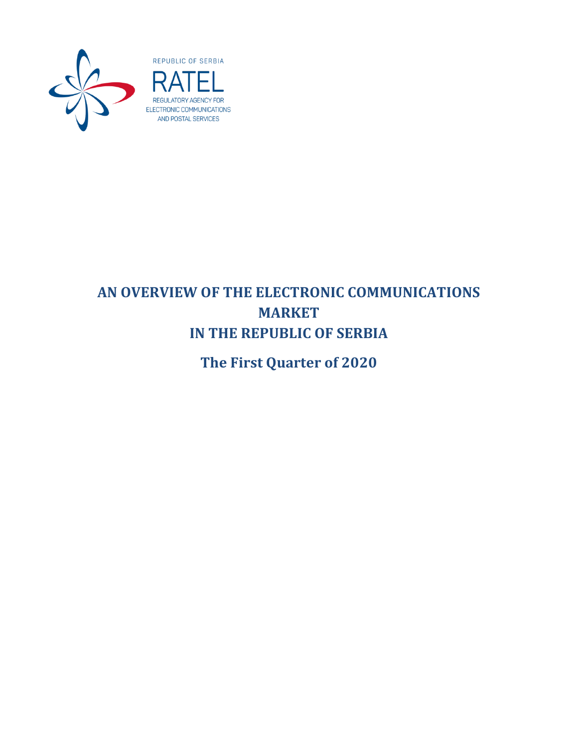

# REGULATORY AGENCY FOR ELECTRONIC COMMUNICATIONS AND POSTAL SERVICES

## **AN OVERVIEW OF THE ELECTRONIC COMMUNICATIONS MARKET IN THE REPUBLIC OF SERBIA**

**The First Quarter of 2020**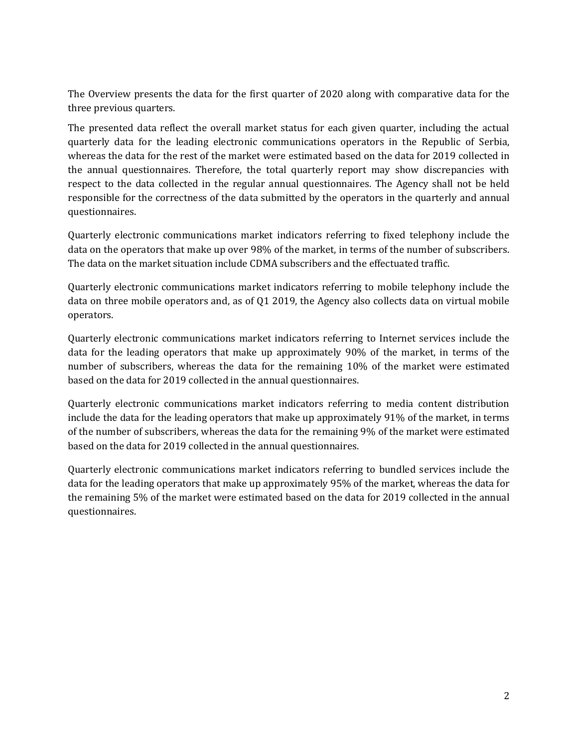The Overview presents the data for the first quarter of 2020 along with comparative data for the three previous quarters.

The presented data reflect the overall market status for each given quarter, including the actual quarterly data for the leading electronic communications operators in the Republic of Serbia, whereas the data for the rest of the market were estimated based on the data for 2019 collected in the annual questionnaires. Therefore, the total quarterly report may show discrepancies with respect to the data collected in the regular annual questionnaires. The Agency shall not be held responsible for the correctness of the data submitted by the operators in the quarterly and annual questionnaires.

Quarterly electronic communications market indicators referring to fixed telephony include the data on the operators that make up over 98% of the market, in terms of the number of subscribers. The data on the market situation include CDMA subscribers and the effectuated traffic.

Quarterly electronic communications market indicators referring to mobile telephony include the data on three mobile operators and, as of Q1 2019, the Agency also collects data on virtual mobile operators.

Quarterly electronic communications market indicators referring to Internet services include the data for the leading operators that make up approximately 90% of the market, in terms of the number of subscribers, whereas the data for the remaining 10% of the market were estimated based on the data for 2019 collected in the annual questionnaires.

Quarterly electronic communications market indicators referring to media content distribution include the data for the leading operators that make up approximately 91% of the market, in terms of the number of subscribers, whereas the data for the remaining 9% of the market were estimated based on the data for 2019 collected in the annual questionnaires.

Quarterly electronic communications market indicators referring to bundled services include the data for the leading operators that make up approximately 95% of the market, whereas the data for the remaining 5% of the market were estimated based on the data for 2019 collected in the annual questionnaires.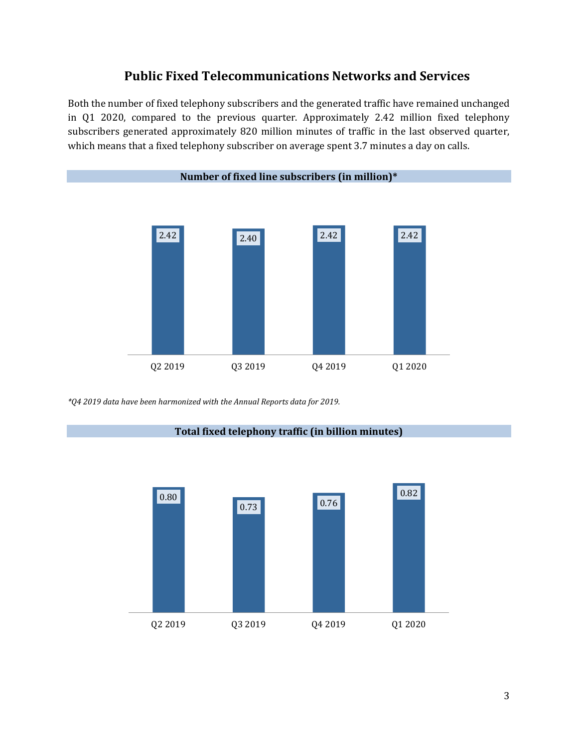#### **Public Fixed Telecommunications Networks and Services**

Both the number of fixed telephony subscribers and the generated traffic have remained unchanged in Q1 2020, compared to the previous quarter. Approximately 2.42 million fixed telephony subscribers generated approximately 820 million minutes of traffic in the last observed quarter, which means that a fixed telephony subscriber on average spent 3.7 minutes a day on calls.



*\*Q4 2019 data have been harmonized with the Annual Reports data for 2019.*



**Total fixed telephony traffic (in billion minutes)**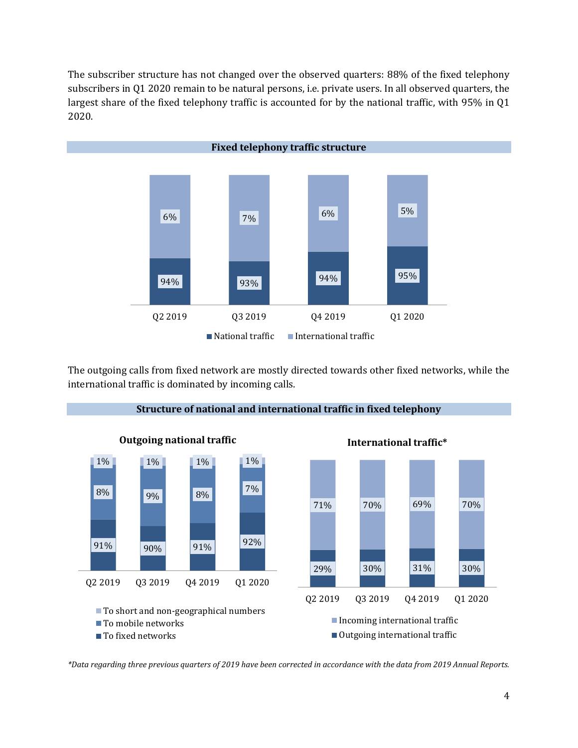The subscriber structure has not changed over the observed quarters: 88% of the fixed telephony subscribers in Q1 2020 remain to be natural persons, i.e. private users. In all observed quarters, the largest share of the fixed telephony traffic is accounted for by the national traffic, with 95% in Q1 2020.



The outgoing calls from fixed network are mostly directed towards other fixed networks, while the international traffic is dominated by incoming calls.



**Structure of national and international traffic in fixed telephony**

*\*Data regarding three previous quarters of 2019 have been corrected in accordance with the data from 2019 Annual Reports.*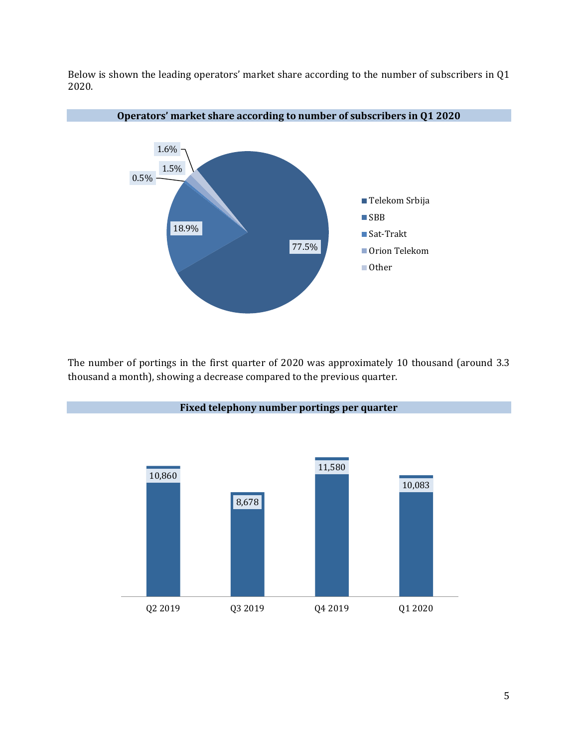Below is shown the leading operators' market share according to the number of subscribers in Q1 2020.



The number of portings in the first quarter of 2020 was approximately 10 thousand (around 3.3 thousand a month), showing a decrease compared to the previous quarter.



#### **Fixed telephony number portings per quarter**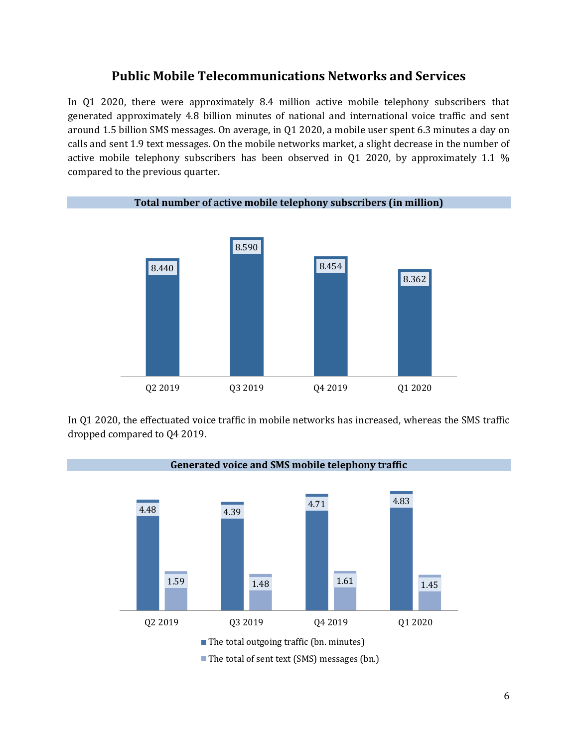#### **Public Mobile Telecommunications Networks and Services**

In Q1 2020, there were approximately 8.4 million active mobile telephony subscribers that generated approximately 4.8 billion minutes of national and international voice traffic and sent around 1.5 billion SMS messages. On average, in Q1 2020, a mobile user spent 6.3 minutes a day on calls and sent 1.9 text messages. On the mobile networks market, a slight decrease in the number of active mobile telephony subscribers has been observed in Q1 2020, by approximately 1.1 % compared to the previous quarter.



In Q1 2020, the effectuated voice traffic in mobile networks has increased, whereas the SMS traffic dropped compared to Q4 2019.

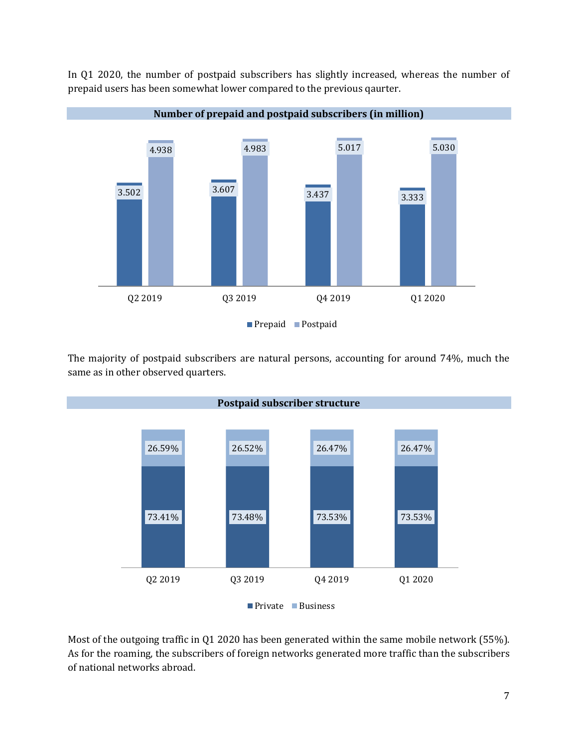

In Q1 2020, the number of postpaid subscribers has slightly increased, whereas the number of prepaid users has been somewhat lower compared to the previous qaurter.

The majority of postpaid subscribers are natural persons, accounting for around 74%, much the same as in other observed quarters.



Most of the outgoing traffic in Q1 2020 has been generated within the same mobile network (55%). As for the roaming, the subscribers of foreign networks generated more traffic than the subscribers of national networks abroad.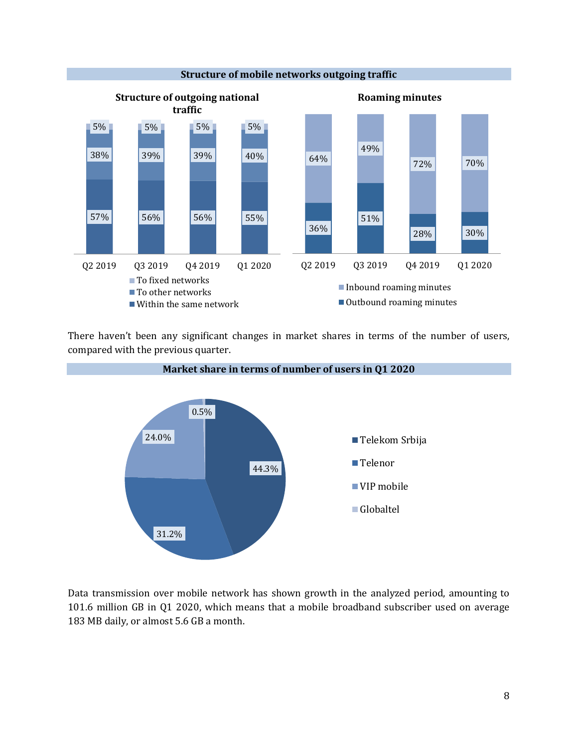

There haven't been any significant changes in market shares in terms of the number of users, compared with the previous quarter.



Data transmission over mobile network has shown growth in the analyzed period, amounting to 101.6 million GB in Q1 2020, which means that a mobile broadband subscriber used on average 183 MB daily, or almost 5.6 GB a month.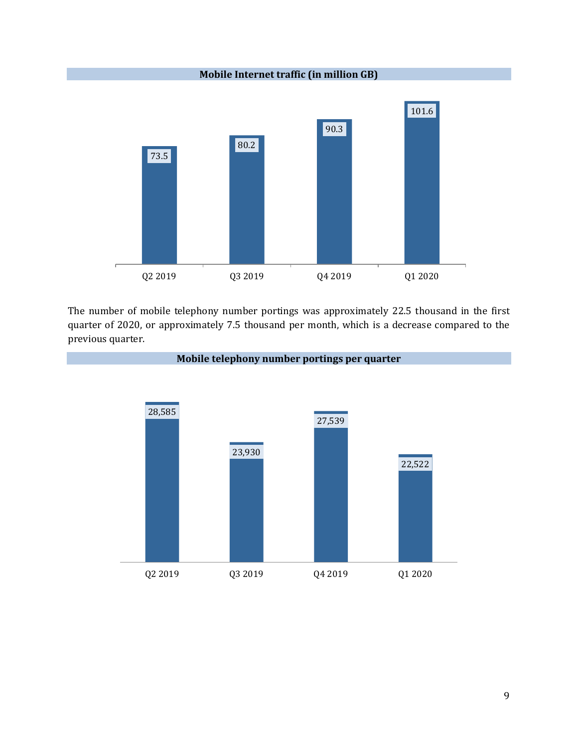**Mobile Internet traffic (in million GB)**



The number of mobile telephony number portings was approximately 22.5 thousand in the first quarter of 2020, or approximately 7.5 thousand per month, which is a decrease compared to the previous quarter.

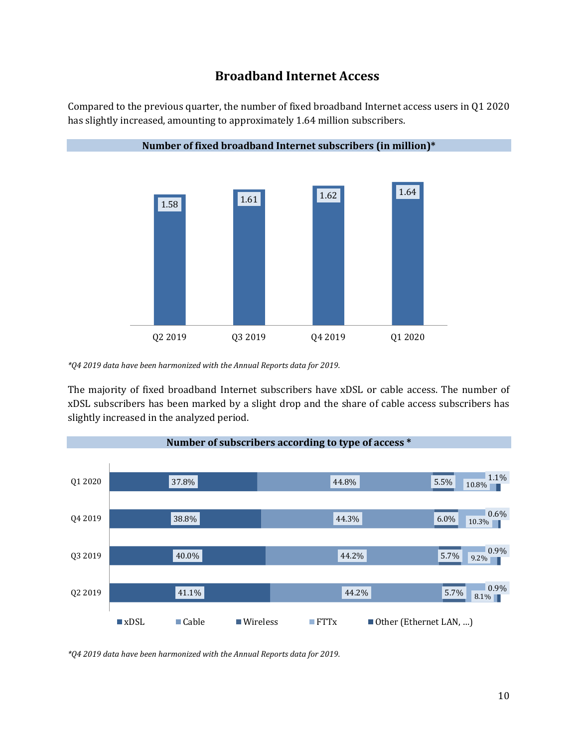#### **Broadband Internet Access**

Compared to the previous quarter, the number of fixed broadband Internet access users in Q1 2020 has slightly increased, amounting to approximately 1.64 million subscribers.



**Number of fixed broadband Internet subscribers (in million)\***

*\*Q4 2019 data have been harmonized with the Annual Reports data for 2019.*

The majority of fixed broadband Internet subscribers have xDSL or cable access. The number of xDSL subscribers has been marked by a slight drop and the share of cable access subscribers has slightly increased in the analyzed period.



*\*Q4 2019 data have been harmonized with the Annual Reports data for 2019.*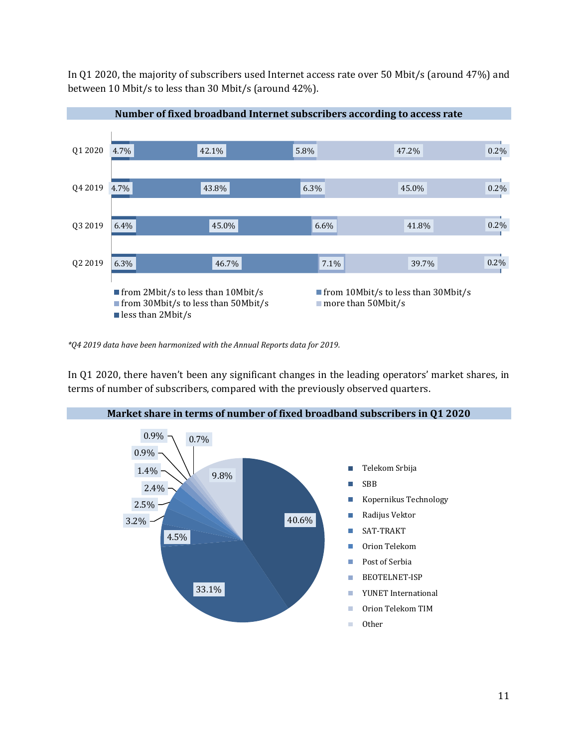In Q1 2020, the majority of subscribers used Internet access rate over 50 Mbit/s (around 47%) and between 10 Mbit/s to less than 30 Mbit/s (around 42%).



**Number of fixed broadband Internet subscribers according to access rate**

*\*Q4 2019 data have been harmonized with the Annual Reports data for 2019.*

In Q1 2020, there haven't been any significant changes in the leading operators' market shares, in terms of number of subscribers, compared with the previously observed quarters.

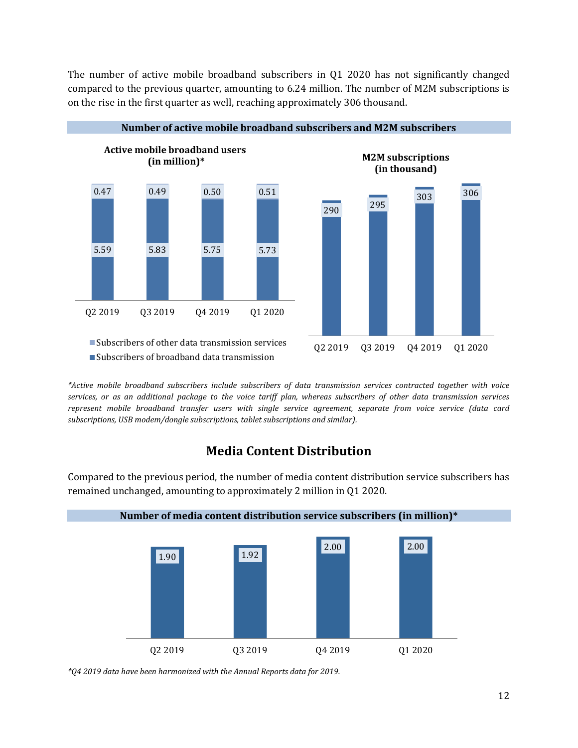The number of active mobile broadband subscribers in Q1 2020 has not significantly changed compared to the previous quarter, amounting to 6.24 million. The number of M2M subscriptions is on the rise in the first quarter as well, reaching approximately 306 thousand.



*\*Active mobile broadband subscribers include subscribers of data transmission services contracted together with voice services, or as an additional package to the voice tariff plan, whereas subscribers of other data transmission services represent mobile broadband transfer users with single service agreement, separate from voice service (data card subscriptions, USB modem/dongle subscriptions, tablet subscriptions and similar).* 

## **Media Content Distribution**

Compared to the previous period, the number of media content distribution service subscribers has remained unchanged, amounting to approximately 2 million in Q1 2020.



*\*Q4 2019 data have been harmonized with the Annual Reports data for 2019.*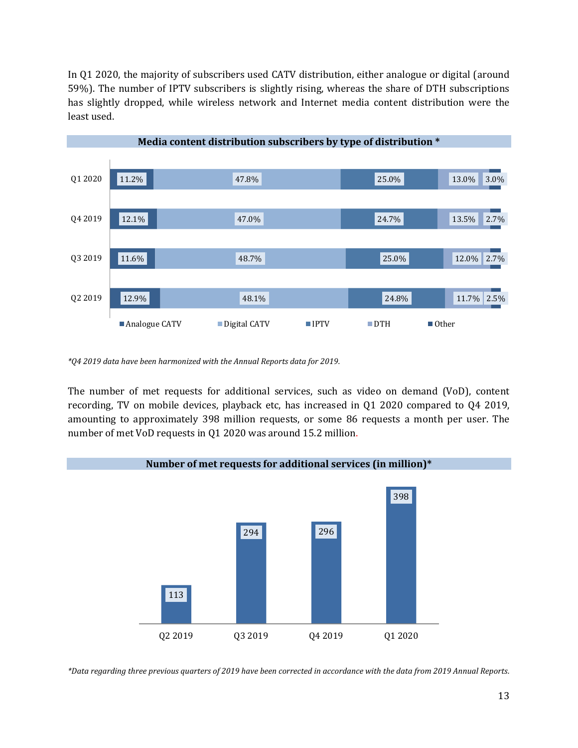In Q1 2020, the majority of subscribers used CATV distribution, either analogue or digital (around 59%). The number of IPTV subscribers is slightly rising, whereas the share of DTH subscriptions has slightly dropped, while wireless network and Internet media content distribution were the least used.



*\*Q4 2019 data have been harmonized with the Annual Reports data for 2019.*

The number of met requests for additional services, such as video on demand (VoD), content recording, TV on mobile devices, playback etc, has increased in Q1 2020 compared to Q4 2019, amounting to approximately 398 million requests, or some 86 requests a month per user. The number of met VoD requests in Q1 2020 was around 15.2 million.



*\*Data regarding three previous quarters of 2019 have been corrected in accordance with the data from 2019 Annual Reports.*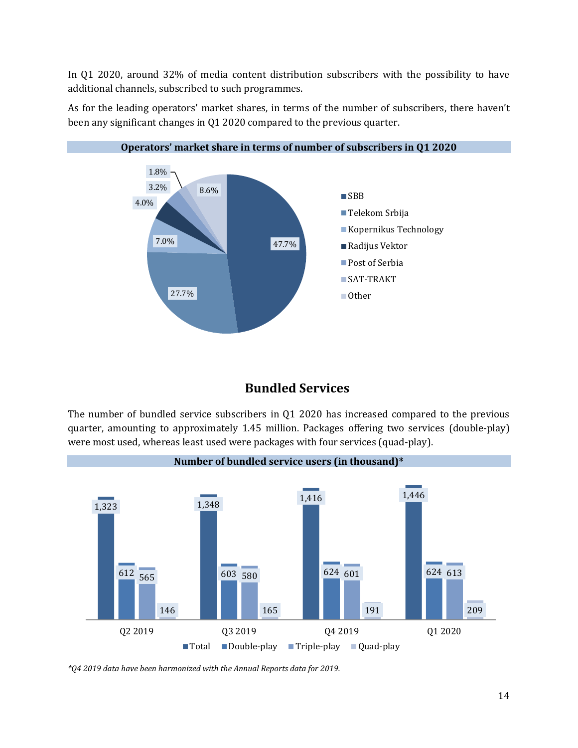In Q1 2020, around 32% of media content distribution subscribers with the possibility to have additional channels, subscribed to such programmes.



As for the leading operators' market shares, in terms of the number of subscribers, there haven't been any significant changes in Q1 2020 compared to the previous quarter.

## **Bundled Services**

The number of bundled service subscribers in Q1 2020 has increased compared to the previous quarter, amounting to approximately 1.45 million. Packages offering two services (double-play) were most used, whereas least used were packages with four services (quad-play).



*\*Q4 2019 data have been harmonized with the Annual Reports data for 2019.*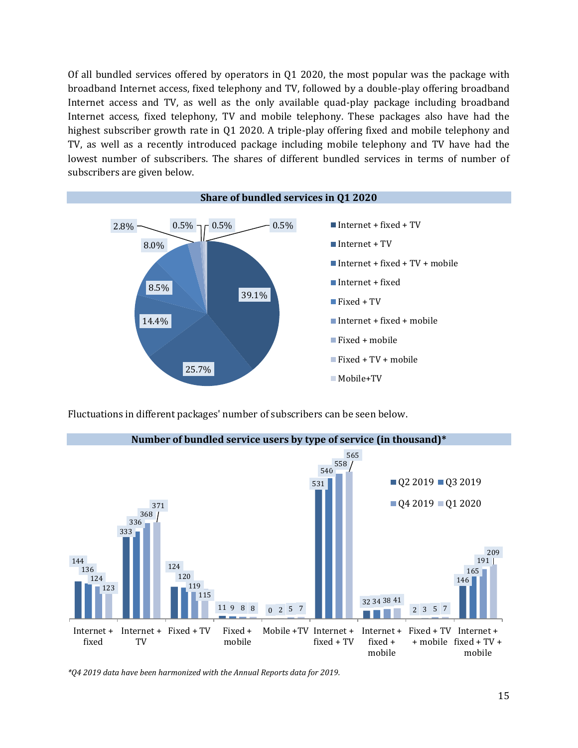Of all bundled services offered by operators in Q1 2020, the most popular was the package with broadband Internet access, fixed telephony and TV, followed by a double-play offering broadband Internet access and TV, as well as the only available quad-play package including broadband Internet access, fixed telephony, TV and mobile telephony. These packages also have had the highest subscriber growth rate in Q1 2020. A triple-play offering fixed and mobile telephony and TV, as well as a recently introduced package including mobile telephony and TV have had the lowest number of subscribers. The shares of different bundled services in terms of number of subscribers are given below.



Fluctuations in different packages' number of subscribers can be seen below.



*\*Q4 2019 data have been harmonized with the Annual Reports data for 2019.*